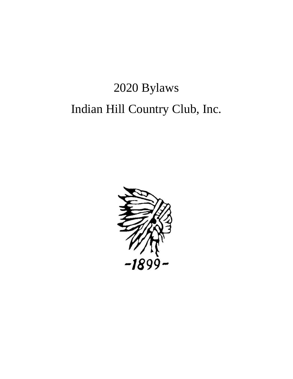# 2020 Bylaws Indian Hill Country Club, Inc.

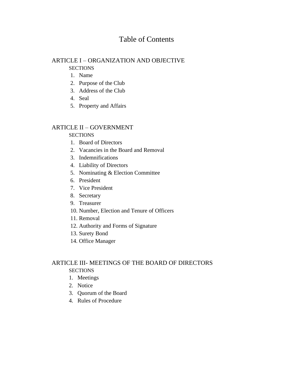# Table of Contents

#### ARTICLE I – ORGANIZATION AND OBJECTIVE **SECTIONS**

- 1. Name
- 
- 2. Purpose of the Club
- 3. Address of the Club
- 4. Seal
- 5. Property and Affairs

# ARTICLE II – GOVERNMENT

#### **SECTIONS**

- 1. Board of Directors
- 2. Vacancies in the Board and Removal
- 3. Indemnifications
- 4. Liability of Directors
- 5. Nominating & Election Committee
- 6. President
- 7. Vice President
- 8. Secretary
- 9. Treasurer
- 10. Number, Election and Tenure of Officers
- 11. Removal
- 12. Authority and Forms of Signature
- 13. Surety Bond
- 14. Office Manager

# ARTICLE III- MEETINGS OF THE BOARD OF DIRECTORS **SECTIONS**

- 1. Meetings
- 2. Notice
- 3. Quorum of the Board
- 4. Rules of Procedure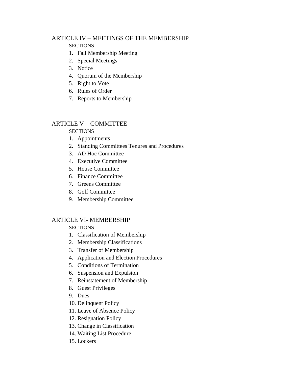# ARTICLE IV – MEETINGS OF THE MEMBERSHIP

#### **SECTIONS**

- 1. Fall Membership Meeting
- 2. Special Meetings
- 3. Notice
- 4. Quorum of the Membership
- 5. Right to Vote
- 6. Rules of Order
- 7. Reports to Membership

# ARTICLE V – COMMITTEE

#### **SECTIONS**

- 1. Appointments
- 2. Standing Committees Tenures and Procedures
- 3. AD Hoc Committee
- 4. Executive Committee
- 5. House Committee
- 6. Finance Committee
- 7. Greens Committee
- 8. Golf Committee
- 9. Membership Committee

# ARTICLE VI- MEMBERSHIP

# **SECTIONS**

- 1. Classification of Membership
- 2. Membership Classifications
- 3. Transfer of Membership
- 4. Application and Election Procedures
- 5. Conditions of Termination
- 6. Suspension and Expulsion
- 7. Reinstatement of Membership
- 8. Guest Privileges
- 9. Dues
- 10. Delinquent Policy
- 11. Leave of Absence Policy
- 12. Resignation Policy
- 13. Change in Classification
- 14. Waiting List Procedure
- 15. Lockers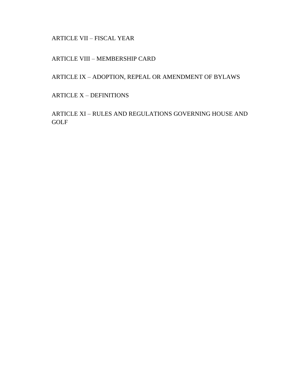ARTICLE VII – FISCAL YEAR

ARTICLE VIII – MEMBERSHIP CARD

ARTICLE IX – ADOPTION, REPEAL OR AMENDMENT OF BYLAWS

ARTICLE X – DEFINITIONS

ARTICLE XI – RULES AND REGULATIONS GOVERNING HOUSE AND GOLF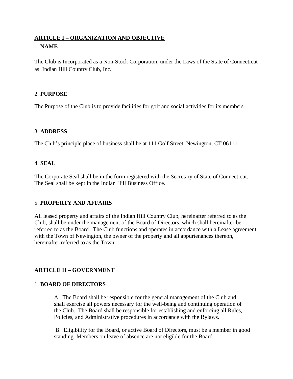# **ARTICLE I – ORGANIZATION AND OBJECTIVE**

# 1. **NAME**

The Club is Incorporated as a Non-Stock Corporation, under the Laws of the State of Connecticut as Indian Hill Country Club, Inc.

#### 2. **PURPOSE**

The Purpose of the Club is to provide facilities for golf and social activities for its members.

#### 3. **ADDRESS**

The Club's principle place of business shall be at 111 Golf Street, Newington, CT 06111.

#### 4. **SEAL**

The Corporate Seal shall be in the form registered with the Secretary of State of Connecticut. The Seal shall be kept in the Indian Hill Business Office.

# 5. **PROPERTY AND AFFAIRS**

All leased property and affairs of the Indian Hill Country Club, hereinafter referred to as the Club, shall be under the management of the Board of Directors, which shall hereinafter be referred to as the Board. The Club functions and operates in accordance with a Lease agreement with the Town of Newington, the owner of the property and all appurtenances thereon, hereinafter referred to as the Town.

# **ARTICLE II – GOVERNMENT**

#### 1. **BOARD OF DIRECTORS**

A. The Board shall be responsible for the general management of the Club and shall exercise all powers necessary for the well-being and continuing operation of the Club. The Board shall be responsible for establishing and enforcing all Rules, Policies, and Administrative procedures in accordance with the Bylaws.

B. Eligibility for the Board, or active Board of Directors, must be a member in good standing. Members on leave of absence are not eligible for the Board.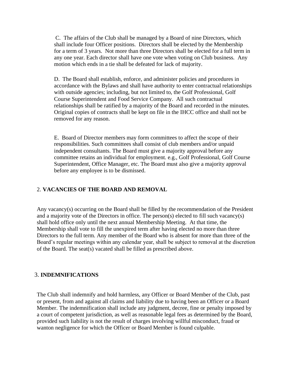C. The affairs of the Club shall be managed by a Board of nine Directors, which shall include four Officer positions. Directors shall be elected by the Membership for a term of 3 years. Not more than three Directors shall be elected for a full term in any one year. Each director shall have one vote when voting on Club business. Any motion which ends in a tie shall be defeated for lack of majority.

D. The Board shall establish, enforce, and administer policies and procedures in accordance with the Bylaws and shall have authority to enter contractual relationships with outside agencies; including, but not limited to, the Golf Professional, Golf Course Superintendent and Food Service Company. All such contractual relationships shall be ratified by a majority of the Board and recorded in the minutes. Original copies of contracts shall be kept on file in the IHCC office and shall not be removed for any reason.

E. Board of Director members may form committees to affect the scope of their responsibilities. Such committees shall consist of club members and/or unpaid independent consultants. The Board must give a majority approval before any committee retains an individual for employment. e.g., Golf Professional, Golf Course Superintendent, Office Manager, etc. The Board must also give a majority approval before any employee is to be dismissed.

# 2. **VACANCIES OF THE BOARD AND REMOVAL**

Any vacancy(s) occurring on the Board shall be filled by the recommendation of the President and a majority vote of the Directors in office. The person(s) elected to fill such vacancy(s) shall hold office only until the next annual Membership Meeting. At that time, the Membership shall vote to fill the unexpired term after having elected no more than three Directors to the full term. Any member of the Board who is absent for more than three of the Board's regular meetings within any calendar year, shall be subject to removal at the discretion of the Board. The seat(s) vacated shall be filled as prescribed above.

#### 3. **INDEMNIFICATIONS**

The Club shall indemnify and hold harmless, any Officer or Board Member of the Club, past or present, from and against all claims and liability due to having been an Officer or a Board Member. The indemnification shall include any judgment, decree, fine or penalty imposed by a court of competent jurisdiction, as well as reasonable legal fees as determined by the Board, provided such liability is not the result of charges involving willful misconduct, fraud or wanton negligence for which the Officer or Board Member is found culpable.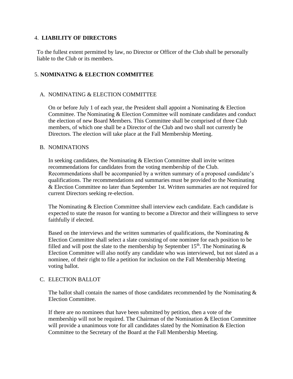#### 4. **LIABILITY OF DIRECTORS**

To the fullest extent permitted by law, no Director or Officer of the Club shall be personally liable to the Club or its members.

# 5. **NOMINATNG & ELECTION COMMITTEE**

#### A. NOMINATING & ELECTION COMMITTEE

On or before July 1 of each year, the President shall appoint a Nominating & Election Committee. The Nominating & Election Committee will nominate candidates and conduct the election of new Board Members. This Committee shall be comprised of three Club members, of which one shall be a Director of the Club and two shall not currently be Directors. The election will take place at the Fall Membership Meeting.

#### B. NOMINATIONS

In seeking candidates, the Nominating  $&$  Election Committee shall invite written recommendations for candidates from the voting membership of the Club. Recommendations shall be accompanied by a written summary of a proposed candidate's qualifications. The recommendations and summaries must be provided to the Nominating & Election Committee no later than September 1st. Written summaries are not required for current Directors seeking re-election.

The Nominating & Election Committee shall interview each candidate. Each candidate is expected to state the reason for wanting to become a Director and their willingness to serve faithfully if elected.

Based on the interviews and the written summaries of qualifications, the Nominating  $\&$ Election Committee shall select a slate consisting of one nominee for each position to be filled and will post the slate to the membership by September 15<sup>th</sup>. The Nominating  $\&$ Election Committee will also notify any candidate who was interviewed, but not slated as a nominee, of their right to file a petition for inclusion on the Fall Membership Meeting voting ballot.

#### C. ELECTION BALLOT

The ballot shall contain the names of those candidates recommended by the Nominating  $\&$ Election Committee.

If there are no nominees that have been submitted by petition, then a vote of the membership will not be required. The Chairman of the Nomination & Election Committee will provide a unanimous vote for all candidates slated by the Nomination & Election Committee to the Secretary of the Board at the Fall Membership Meeting.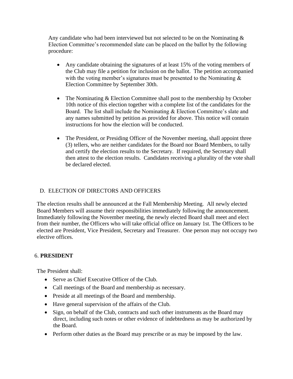Any candidate who had been interviewed but not selected to be on the Nominating  $\&$ Election Committee's recommended slate can be placed on the ballot by the following procedure:

- Any candidate obtaining the signatures of at least 15% of the voting members of the Club may file a petition for inclusion on the ballot. The petition accompanied with the voting member's signatures must be presented to the Nominating  $\&$ Election Committee by September 30th.
- The Nominating & Election Committee shall post to the membership by October 10th notice of this election together with a complete list of the candidates for the Board. The list shall include the Nominating & Election Committee's slate and any names submitted by petition as provided for above. This notice will contain instructions for how the election will be conducted.
- The President, or Presiding Officer of the November meeting, shall appoint three (3) tellers, who are neither candidates for the Board nor Board Members, to tally and certify the election results to the Secretary. If required, the Secretary shall then attest to the election results. Candidates receiving a plurality of the vote shall be declared elected.

# D. ELECTION OF DIRECTORS AND OFFICERS

The election results shall be announced at the Fall Membership Meeting. All newly elected Board Members will assume their responsibilities immediately following the announcement. Immediately following the November meeting, the newly elected Board shall meet and elect from their number, the Officers who will take official office on January 1st. The Officers to be elected are President, Vice President, Secretary and Treasurer. One person may not occupy two elective offices.

# 6. **PRESIDENT**

The President shall:

- Serve as Chief Executive Officer of the Club.
- Call meetings of the Board and membership as necessary.
- Preside at all meetings of the Board and membership.
- Have general supervision of the affairs of the Club.
- Sign, on behalf of the Club, contracts and such other instruments as the Board may direct, including such notes or other evidence of indebtedness as may be authorized by the Board.
- Perform other duties as the Board may prescribe or as may be imposed by the law.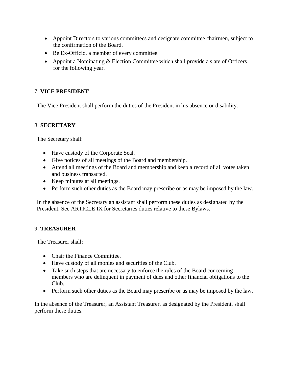- Appoint Directors to various committees and designate committee chairmen, subject to the confirmation of the Board.
- Be Ex-Officio, a member of every committee.
- Appoint a Nominating & Election Committee which shall provide a slate of Officers for the following year.

# 7. **VICE PRESIDENT**

The Vice President shall perform the duties of the President in his absence or disability.

#### 8. **SECRETARY**

The Secretary shall:

- Have custody of the Corporate Seal.
- Give notices of all meetings of the Board and membership.
- Attend all meetings of the Board and membership and keep a record of all votes taken and business transacted.
- Keep minutes at all meetings.
- Perform such other duties as the Board may prescribe or as may be imposed by the law.

In the absence of the Secretary an assistant shall perform these duties as designated by the President. See ARTICLE IX for Secretaries duties relative to these Bylaws.

#### 9. **TREASURER**

The Treasurer shall:

- Chair the Finance Committee.
- Have custody of all monies and securities of the Club.
- Take such steps that are necessary to enforce the rules of the Board concerning members who are delinquent in payment of dues and other financial obligations to the Club.
- Perform such other duties as the Board may prescribe or as may be imposed by the law.

In the absence of the Treasurer, an Assistant Treasurer, as designated by the President, shall perform these duties.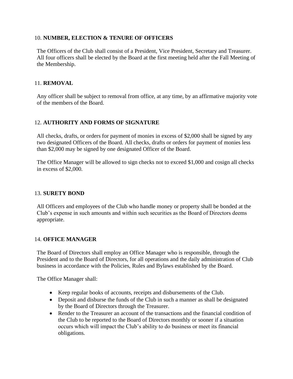# 10. **NUMBER, ELECTION & TENURE OF OFFICERS**

The Officers of the Club shall consist of a President, Vice President, Secretary and Treasurer. All four officers shall be elected by the Board at the first meeting held after the Fall Meeting of the Membership.

# 11. **REMOVAL**

Any officer shall be subject to removal from office, at any time, by an affirmative majority vote of the members of the Board.

# 12. **AUTHORITY AND FORMS OF SIGNATURE**

All checks, drafts, or orders for payment of monies in excess of \$2,000 shall be signed by any two designated Officers of the Board. All checks, drafts or orders for payment of monies less than \$2,000 may be signed by one designated Officer of the Board.

The Office Manager will be allowed to sign checks not to exceed \$1,000 and cosign all checks in excess of \$2,000.

#### 13. **SURETY BOND**

All Officers and employees of the Club who handle money or property shall be bonded at the Club's expense in such amounts and within such securities as the Board of Directors deems appropriate.

#### 14. **OFFICE MANAGER**

The Board of Directors shall employ an Office Manager who is responsible, through the President and to the Board of Directors, for all operations and the daily administration of Club business in accordance with the Policies, Rules and Bylaws established by the Board.

The Office Manager shall:

- Keep regular books of accounts, receipts and disbursements of the Club.
- Deposit and disburse the funds of the Club in such a manner as shall be designated by the Board of Directors through the Treasurer.
- Render to the Treasurer an account of the transactions and the financial condition of the Club to be reported to the Board of Directors monthly or sooner if a situation occurs which will impact the Club's ability to do business or meet its financial obligations.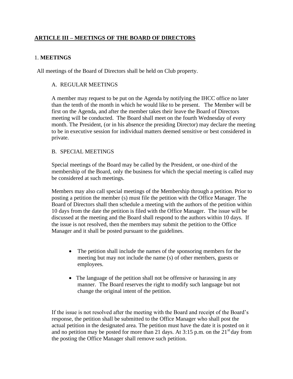# **ARTICLE III – MEETINGS OF THE BOARD OF DIRECTORS**

# 1. **MEETINGS**

All meetings of the Board of Directors shall be held on Club property.

#### A. REGULAR MEETINGS

A member may request to be put on the Agenda by notifying the IHCC office no later than the tenth of the month in which he would like to be present. The Member will be first on the Agenda, and after the member takes their leave the Board of Directors meeting will be conducted. The Board shall meet on the fourth Wednesday of every month. The President, (or in his absence the presiding Director) may declare the meeting to be in executive session for individual matters deemed sensitive or best considered in private.

#### B. SPECIAL MEETINGS

Special meetings of the Board may be called by the President, or one-third of the membership of the Board, only the business for which the special meeting is called may be considered at such meetings.

Members may also call special meetings of the Membership through a petition. Prior to posting a petition the member (s) must file the petition with the Office Manager. The Board of Directors shall then schedule a meeting with the authors of the petition within 10 days from the date the petition is filed with the Office Manager. The issue will be discussed at the meeting and the Board shall respond to the authors within 10 days. If the issue is not resolved, then the members may submit the petition to the Office Manager and it shall be posted pursuant to the guidelines.

- The petition shall include the names of the sponsoring members for the meeting but may not include the name (s) of other members, guests or employees.
- The language of the petition shall not be offensive or harassing in any manner. The Board reserves the right to modify such language but not change the original intent of the petition.

If the issue is not resolved after the meeting with the Board and receipt of the Board's response, the petition shall be submitted to the Office Manager who shall post the actual petition in the designated area. The petition must have the date it is posted on it and no petition may be posted for more than 21 days. At 3:15 p.m. on the  $21<sup>st</sup>$  day from the posting the Office Manager shall remove such petition.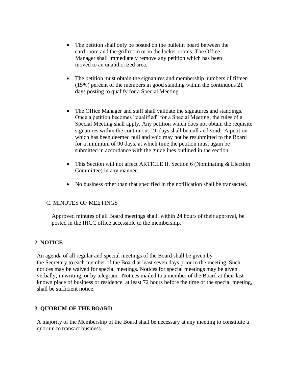- The petition shall only be posted on the bulletin board between the card room and the grillroom or in the locker rooms. The Office Manager shall immediately remove any petition which has been moved to an unauthorized area.
- The petition must obtain the signatures and membership numbers of fifteen (15%) percent of the members in good standing within the continuous 21 days posting to qualify for a Special Meeting.
- The Office Manager and staff shall validate the signatures and standings. Once a petition becomes "qualified" for a Special Meeting, the rules of a Special Meeting shall apply. Any petition which does not obtain the requisite signatures within the continuous 21-days shall be null and void. A petition which has been deemed null and void may not be resubmitted to the Board for a minimum of 90 days, at which time the petition must again be submitted in accordance with the guidelines outlined in the section.
- This Section will not affect ARTICLE II, Section 6 (Nominating & Election Committee) in any manner.
- No business other than that specified in the notification shall be transacted.

#### C. MINUTES OF MEETINGS

Approved minutes of all Board meetings shall, within 24 hours of their approval, be posted in the IHCC office accessible to the membership.

# 2. **NOTICE**

An agenda of all regular and special meetings of the Board shall be given by the Secretary to each member of the Board at least seven days prior to the meeting. Such notices may be waived for special meetings. Notices for special meetings may be given verbally, in writing, or by telegram. Notices mailed to a member of the Board at their last known place of business or residence, at least 72 hours before the time of the special meeting, shall be sufficient notice.

# 3. **QUORUM OF THE BOARD**

A majority of the Membership of the Board shall be necessary at any meeting to constitute a quorum to transact business.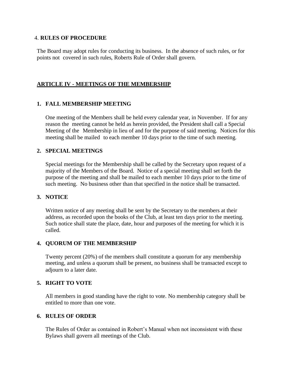#### 4. **RULES OF PROCEDURE**

The Board may adopt rules for conducting its business. In the absence of such rules, or for points not covered in such rules, Roberts Rule of Order shall govern.

#### **ARTICLE IV - MEETINGS OF THE MEMBERSHIP**

#### **1. FALL MEMBERSHIP MEETING**

One meeting of the Members shall be held every calendar year, in November. If for any reason the meeting cannot be held as herein provided, the President shall call a Special Meeting of the Membership in lieu of and for the purpose of said meeting. Notices for this meeting shall be mailed to each member 10 days prior to the time of such meeting.

#### **2. SPECIAL MEETINGS**

Special meetings for the Membership shall be called by the Secretary upon request of a majority of the Members of the Board. Notice of a special meeting shall set forth the purpose of the meeting and shall be mailed to each member 10 days prior to the time of such meeting. No business other than that specified in the notice shall be transacted.

#### **3. NOTICE**

Written notice of any meeting shall be sent by the Secretary to the members at their address, as recorded upon the books of the Club, at least ten days prior to the meeting. Such notice shall state the place, date, hour and purposes of the meeting for which it is called.

#### **4. QUORUM OF THE MEMBERSHIP**

Twenty percent (20%) of the members shall constitute a quorum for any membership meeting, and unless a quorum shall be present, no business shall be transacted except to adjourn to a later date.

#### **5. RIGHT TO VOTE**

All members in good standing have the right to vote. No membership category shall be entitled to more than one vote.

#### **6. RULES OF ORDER**

The Rules of Order as contained in Robert's Manual when not inconsistent with these Bylaws shall govern all meetings of the Club.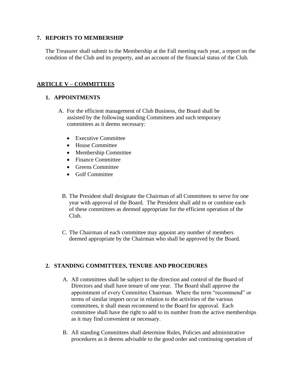#### **7. REPORTS TO MEMBERSHIP**

The Treasurer shall submit to the Membership at the Fall meeting each year, a report on the condition of the Club and its property, and an account of the financial status of the Club.

# **ARTICLE V – COMMITTEES**

# **1. APPOINTMENTS**

- A. For the efficient management of Club Business, the Board shall be assisted by the following standing Committees and such temporary committees as it deems necessary:
	- Executive Committee
	- House Committee
	- Membership Committee
	- Finance Committee
	- Greens Committee
	- Golf Committee
	- B. The President shall designate the Chairman of all Committees to serve for one year with approval of the Board. The President shall add to or combine each of these committees as deemed appropriate for the efficient operation of the Club.
	- C. The Chairman of each committee may appoint any number of members deemed appropriate by the Chairman who shall be approved by the Board.

# **2. STANDING COMMITTEES, TENURE AND PROCEDURES**

- A. All committees shall be subject to the direction and control of the Board of Directors and shall have tenure of one year. The Board shall approve the appointment of every Committee Chairman. Where the term "recommend" or terms of similar import occur in relation to the activities of the various committees, it shall mean recommend to the Board for approval. Each committee shall have the right to add to its number from the active memberships as it may find convenient or necessary.
- B. All standing Committees shall determine Rules, Policies and administrative procedures as it deems advisable to the good order and continuing operation of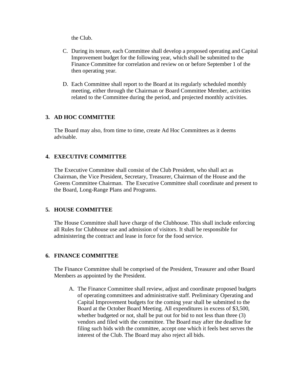the Club.

- C. During its tenure, each Committee shall develop a proposed operating and Capital Improvement budget for the following year, which shall be submitted to the Finance Committee for correlation and review on or before September 1 of the then operating year.
- D. Each Committee shall report to the Board at its regularly scheduled monthly meeting, either through the Chairman or Board Committee Member, activities related to the Committee during the period, and projected monthly activities.

# **3. AD HOC COMMITTEE**

The Board may also, from time to time, create Ad Hoc Committees as it deems advisable.

# **4. EXECUTIVE COMMITTEE**

The Executive Committee shall consist of the Club President, who shall act as Chairman, the Vice President, Secretary, Treasurer, Chairman of the House and the Greens Committee Chairman. The Executive Committee shall coordinate and present to the Board, Long-Range Plans and Programs.

#### **5. HOUSE COMMITTEE**

The House Committee shall have charge of the Clubhouse. This shall include enforcing all Rules for Clubhouse use and admission of visitors. It shall be responsible for administering the contract and lease in force for the food service.

#### **6. FINANCE COMMITTEE**

The Finance Committee shall be comprised of the President, Treasurer and other Board Members as appointed by the President.

A. The Finance Committee shall review, adjust and coordinate proposed budgets of operating committees and administrative staff. Preliminary Operating and Capital Improvement budgets for the coming year shall be submitted to the Board at the October Board Meeting. All expenditures in excess of \$3,500, whether budgeted or not, shall be put out for bid to not less than three (3) vendors and filed with the committee. The Board may after the deadline for filing such bids with the committee, accept one which it feels best serves the interest of the Club. The Board may also reject all bids.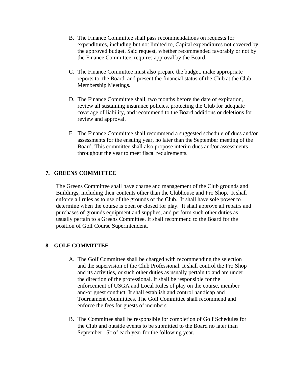- B. The Finance Committee shall pass recommendations on requests for expenditures, including but not limited to, Capital expenditures not covered by the approved budget. Said request, whether recommended favorably or not by the Finance Committee, requires approval by the Board.
- C. The Finance Committee must also prepare the budget, make appropriate reports to the Board, and present the financial status of the Club at the Club Membership Meetings.
- D. The Finance Committee shall, two months before the date of expiration, review all sustaining insurance policies, protecting the Club for adequate coverage of liability, and recommend to the Board additions or deletions for review and approval.
- E. The Finance Committee shall recommend a suggested schedule of dues and/or assessments for the ensuing year, no later than the September meeting of the Board. This committee shall also propose interim dues and/or assessments throughout the year to meet fiscal requirements.

#### **7. GREENS COMMITTEE**

The Greens Committee shall have charge and management of the Club grounds and Buildings, including their contents other than the Clubhouse and Pro Shop. It shall enforce all rules as to use of the grounds of the Club. It shall have sole power to determine when the course is open or closed for play. It shall approve all repairs and purchases of grounds equipment and supplies, and perform such other duties as usually pertain to a Greens Committee. It shall recommend to the Board for the position of Golf Course Superintendent.

#### **8. GOLF COMMITTEE**

- A. The Golf Committee shall be charged with recommending the selection and the supervision of the Club Professional. It shall control the Pro Shop and its activities, or such other duties as usually pertain to and are under the direction of the professional. It shall be responsible for the enforcement of USGA and Local Rules of play on the course, member and/or guest conduct. It shall establish and control handicap and Tournament Committees. The Golf Committee shall recommend and enforce the fees for guests of members.
- B. The Committee shall be responsible for completion of Golf Schedules for the Club and outside events to be submitted to the Board no later than September  $15<sup>th</sup>$  of each year for the following year.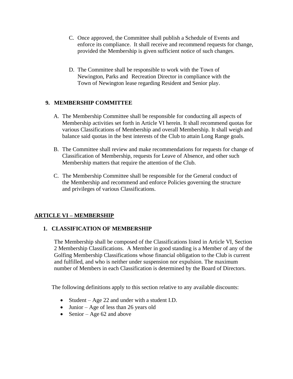- C. Once approved, the Committee shall publish a Schedule of Events and enforce its compliance. It shall receive and recommend requests for change, provided the Membership is given sufficient notice of such changes.
- D. The Committee shall be responsible to work with the Town of Newington, Parks and Recreation Director in compliance with the Town of Newington lease regarding Resident and Senior play.

# **9. MEMBERSHIP COMMITTEE**

- A. The Membership Committee shall be responsible for conducting all aspects of Membership activities set forth in Article VI herein. It shall recommend quotas for various Classifications of Membership and overall Membership. It shall weigh and balance said quotas in the best interests of the Club to attain Long Range goals.
- B. The Committee shall review and make recommendations for requests for change of Classification of Membership, requests for Leave of Absence, and other such Membership matters that require the attention of the Club.
- C. The Membership Committee shall be responsible for the General conduct of the Membership and recommend and enforce Policies governing the structure and privileges of various Classifications.

# **ARTICLE VI – MEMBERSHIP**

# **1. CLASSIFICATION OF MEMBERSHIP**

The Membership shall be composed of the Classifications listed in Article VI, Section 2 Membership Classifications. A Member in good standing is a Member of any of the Golfing Membership Classifications whose financial obligation to the Club is current and fulfilled, and who is neither under suspension nor expulsion. The maximum number of Members in each Classification is determined by the Board of Directors.

The following definitions apply to this section relative to any available discounts:

- Student Age 22 and under with a student I.D.
- Junior Age of less than 26 years old
- Senior Age  $62$  and above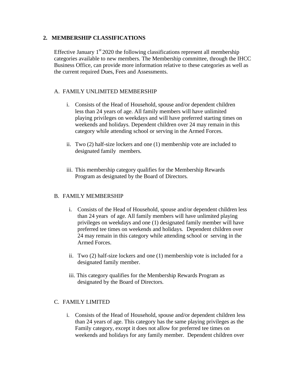# **2. MEMBERSHIP CLASSIFICATIONS**

Effective January  $1<sup>st</sup> 2020$  the following classifications represent all membership categories available to new members. The Membership committee, through the IHCC Business Office, can provide more information relative to these categories as well as the current required Dues, Fees and Assessments.

# A. FAMILY UNLIMITED MEMBERSHIP

- i. Consists of the Head of Household, spouse and/or dependent children less than 24 years of age. All family members will have unlimited playing privileges on weekdays and will have preferred starting times on weekends and holidays. Dependent children over 24 may remain in this category while attending school or serving in the Armed Forces.
- ii. Two (2) half-size lockers and one (1) membership vote are included to designated family members.
- iii. This membership category qualifies for the Membership Rewards Program as designated by the Board of Directors.

#### B. FAMILY MEMBERSHIP

- i. Consists of the Head of Household, spouse and/or dependent children less than 24 years of age. All family members will have unlimited playing privileges on weekdays and one (1) designated family member will have preferred tee times on weekends and holidays. Dependent children over 24 may remain in this category while attending school or serving in the Armed Forces.
- ii. Two (2) half-size lockers and one (1) membership vote is included for a designated family member.
- iii. This category qualifies for the Membership Rewards Program as designated by the Board of Directors.

#### C. FAMILY LIMITED

i. Consists of the Head of Household, spouse and/or dependent children less than 24 years of age. This category has the same playing privileges as the Family category, except it does not allow for preferred tee times on weekends and holidays for any family member. Dependent children over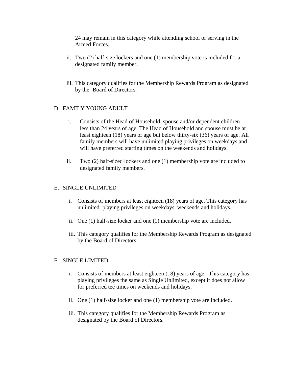24 may remain in this category while attending school or serving in the Armed Forces.

- ii. Two (2) half-size lockers and one (1) membership vote is included for a designated family member.
- iii. This category qualifies for the Membership Rewards Program as designated by the Board of Directors.

#### D. FAMILY YOUNG ADULT

- i. Consists of the Head of Household, spouse and/or dependent children less than 24 years of age. The Head of Household and spouse must be at least eighteen (18) years of age but below thirty-six (36) years of age. All family members will have unlimited playing privileges on weekdays and will have preferred starting times on the weekends and holidays.
- ii. Two (2) half-sized lockers and one (1) membership vote are included to designated family members.

#### E. SINGLE UNLIMITED

- i. Consists of members at least eighteen (18) years of age. This category has unlimited playing privileges on weekdays, weekends and holidays.
- ii. One (1) half-size locker and one (1) membership vote are included.
- iii. This category qualifies for the Membership Rewards Program as designated by the Board of Directors.

#### F. SINGLE LIMITED

- i. Consists of members at least eighteen (18) years of age. This category has playing privileges the same as Single Unlimited, except it does not allow for preferred tee times on weekends and holidays.
- ii. One (1) half-size locker and one (1) membership vote are included.
- iii. This category qualifies for the Membership Rewards Program as designated by the Board of Directors.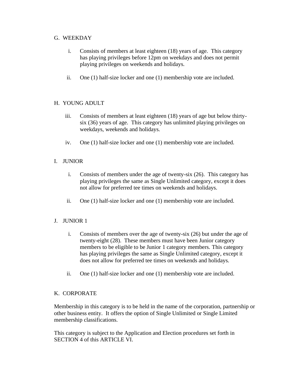# G. WEEKDAY

- i. Consists of members at least eighteen (18) years of age. This category has playing privileges before 12pm on weekdays and does not permit playing privileges on weekends and holidays.
- ii. One (1) half-size locker and one (1) membership vote are included.

# H. YOUNG ADULT

- iii. Consists of members at least eighteen (18) years of age but below thirtysix (36) years of age. This category has unlimited playing privileges on weekdays, weekends and holidays.
- iv. One (1) half-size locker and one (1) membership vote are included.

# I. JUNIOR

- i. Consists of members under the age of twenty-six (26). This category has playing privileges the same as Single Unlimited category, except it does not allow for preferred tee times on weekends and holidays.
- ii. One (1) half-size locker and one (1) membership vote are included.

# J. JUNIOR 1

- i. Consists of members over the age of twenty-six (26) but under the age of twenty-eight (28). These members must have been Junior category members to be eligible to be Junior 1 category members. This category has playing privileges the same as Single Unlimited category, except it does not allow for preferred tee times on weekends and holidays.
- ii. One (1) half-size locker and one (1) membership vote are included.

# K. CORPORATE

Membership in this category is to be held in the name of the corporation, partnership or other business entity. It offers the option of Single Unlimited or Single Limited membership classifications.

This category is subject to the Application and Election procedures set forth in SECTION 4 of this ARTICLE VI.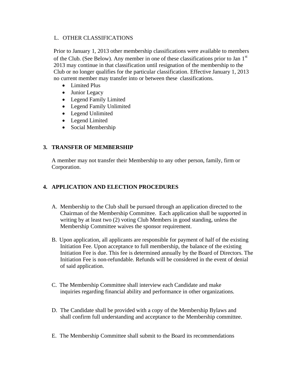# L. OTHER CLASSIFICATIONS

Prior to January 1, 2013 other membership classifications were available to members of the Club. (See Below). Any member in one of these classifications prior to Jan  $1<sup>st</sup>$ 2013 may continue in that classification until resignation of the membership to the Club or no longer qualifies for the particular classification. Effective January 1, 2013 no current member may transfer into or between these classifications.

- Limited Plus
- Junior Legacy
- Legend Family Limited
- Legend Family Unlimited
- Legend Unlimited
- Legend Limited
- Social Membership

# **3. TRANSFER OF MEMBERSHIP**

A member may not transfer their Membership to any other person, family, firm or Corporation.

# **4. APPLICATION AND ELECTION PROCEDURES**

- A. Membership to the Club shall be pursued through an application directed to the Chairman of the Membership Committee. Each application shall be supported in writing by at least two (2) voting Club Members in good standing, unless the Membership Committee waives the sponsor requirement.
- B. Upon application, all applicants are responsible for payment of half of the existing Initiation Fee. Upon acceptance to full membership, the balance of the existing Initiation Fee is due. This fee is determined annually by the Board of Directors. The Initiation Fee is non-refundable. Refunds will be considered in the event of denial of said application.
- C. The Membership Committee shall interview each Candidate and make inquiries regarding financial ability and performance in other organizations.
- D. The Candidate shall be provided with a copy of the Membership Bylaws and shall confirm full understanding and acceptance to the Membership committee.
- E. The Membership Committee shall submit to the Board its recommendations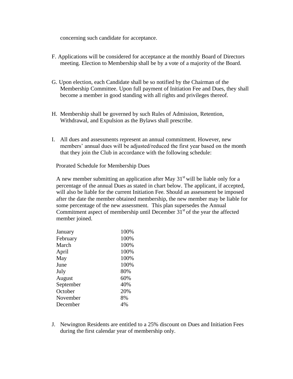concerning such candidate for acceptance.

- F. Applications will be considered for acceptance at the monthly Board of Directors meeting. Election to Membership shall be by a vote of a majority of the Board.
- G. Upon election, each Candidate shall be so notified by the Chairman of the Membership Committee. Upon full payment of Initiation Fee and Dues, they shall become a member in good standing with all rights and privileges thereof.
- H. Membership shall be governed by such Rules of Admission, Retention, Withdrawal, and Expulsion as the Bylaws shall prescribe.
- I. All dues and assessments represent an annual commitment. However, new members' annual dues will be adjusted/reduced the first year based on the month that they join the Club in accordance with the following schedule:

Prorated Schedule for Membership Dues

A new member submitting an application after May  $31<sup>st</sup>$  will be liable only for a percentage of the annual Dues as stated in chart below. The applicant, if accepted, will also be liable for the current Initiation Fee. Should an assessment be imposed after the date the member obtained membership, the new member may be liable for some percentage of the new assessment. This plan supersedes the Annual Commitment aspect of membership until December  $31<sup>st</sup>$  of the year the affected member joined.

| January   | 100% |
|-----------|------|
| February  | 100% |
| March     | 100% |
| April     | 100% |
| May       | 100% |
| June      | 100% |
| July      | 80%  |
| August    | 60%  |
| September | 40%  |
| October   | 20%  |
| November  | 8%   |
| December  | 4%   |
|           |      |

J. Newington Residents are entitled to a 25% discount on Dues and Initiation Fees during the first calendar year of membership only.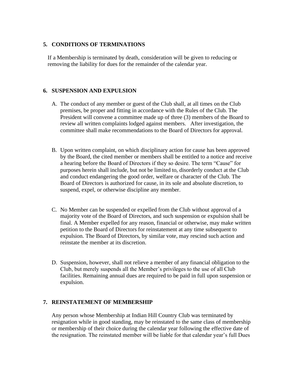#### **5. CONDITIONS OF TERMINATIONS**

If a Membership is terminated by death, consideration will be given to reducing or removing the liability for dues for the remainder of the calendar year.

# **6. SUSPENSION AND EXPULSION**

- A. The conduct of any member or guest of the Club shall, at all times on the Club premises, be proper and fitting in accordance with the Rules of the Club. The President will convene a committee made up of three (3) members of the Board to review all written complaints lodged against members. After investigation, the committee shall make recommendations to the Board of Directors for approval.
- B. Upon written complaint, on which disciplinary action for cause has been approved by the Board, the cited member or members shall be entitled to a notice and receive a hearing before the Board of Directors if they so desire. The term "Cause" for purposes herein shall include, but not be limited to, disorderly conduct at the Club and conduct endangering the good order, welfare or character of the Club. The Board of Directors is authorized for cause, in its sole and absolute discretion, to suspend, expel, or otherwise discipline any member.
- C. No Member can be suspended or expelled from the Club without approval of a majority vote of the Board of Directors, and such suspension or expulsion shall be final. A Member expelled for any reason, financial or otherwise, may make written petition to the Board of Directors for reinstatement at any time subsequent to expulsion. The Board of Directors, by similar vote, may rescind such action and reinstate the member at its discretion.
- D. Suspension, however, shall not relieve a member of any financial obligation to the Club, but merely suspends all the Member's privileges to the use of all Club facilities. Remaining annual dues are required to be paid in full upon suspension or expulsion.

#### **7. REINSTATEMENT OF MEMBERSHIP**

Any person whose Membership at Indian Hill Country Club was terminated by resignation while in good standing, may be reinstated to the same class of membership or membership of their choice during the calendar year following the effective date of the resignation. The reinstated member will be liable for that calendar year's full Dues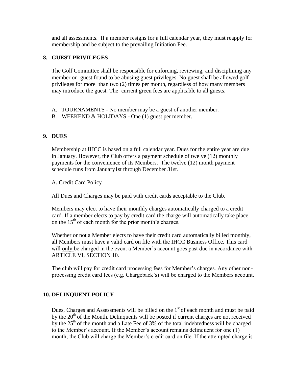and all assessments. If a member resigns for a full calendar year, they must reapply for membership and be subject to the prevailing Initiation Fee.

# **8. GUEST PRIVILEGES**

The Golf Committee shall be responsible for enforcing, reviewing, and disciplining any member or guest found to be abusing guest privileges. No guest shall be allowed golf privileges for more than two (2) times per month, regardless of how many members may introduce the guest. The current green fees are applicable to all guests.

- A. TOURNAMENTS No member may be a guest of another member.
- B. WEEKEND & HOLIDAYS One (1) guest per member.

#### **9. DUES**

Membership at IHCC is based on a full calendar year. Dues for the entire year are due in January. However, the Club offers a payment schedule of twelve (12) monthly payments for the convenience of its Members. The twelve (12) month payment schedule runs from January1st through December 31st.

A. Credit Card Policy

All Dues and Charges may be paid with credit cards acceptable to the Club.

Members may elect to have their monthly charges automatically charged to a credit card. If a member elects to pay by credit card the charge will automatically take place on the  $15<sup>th</sup>$  of each month for the prior month's charges.

Whether or not a Member elects to have their credit card automatically billed monthly, all Members must have a valid card on file with the IHCC Business Office. This card will only be charged in the event a Member's account goes past due in accordance with ARTICLE VI, SECTION 10.

The club will pay for credit card processing fees for Member's charges. Any other nonprocessing credit card fees (e.g. Chargeback's) will be charged to the Members account.

# **10. DELINQUENT POLICY**

Dues, Charges and Assessments will be billed on the  $1<sup>st</sup>$  of each month and must be paid by the  $20<sup>th</sup>$  of the Month. Delinquents will be posted if current charges are not received by the  $25<sup>th</sup>$  of the month and a Late Fee of 3% of the total indebtedness will be charged to the Member's account. If the Member's account remains delinquent for one (1) month, the Club will charge the Member's credit card on file. If the attempted charge is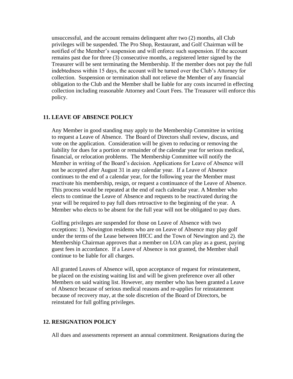unsuccessful, and the account remains delinquent after two (2) months, all Club privileges will be suspended. The Pro Shop, Restaurant, and Golf Chairman will be notified of the Member's suspension and will enforce such suspension. If the account remains past due for three (3) consecutive months, a registered letter signed by the Treasurer will be sent terminating the Membership. If the member does not pay the full indebtedness within 15 days, the account will be turned over the Club's Attorney for collection. Suspension or termination shall not relieve the Member of any financial obligation to the Club and the Member shall be liable for any costs incurred in effecting collection including reasonable Attorney and Court Fees. The Treasurer will enforce this policy.

#### **11. LEAVE OF ABSENCE POLICY**

Any Member in good standing may apply to the Membership Committee in writing to request a Leave of Absence. The Board of Directors shall review, discuss, and vote on the application. Consideration will be given to reducing or removing the liability for dues for a portion or remainder of the calendar year for serious medical, financial, or relocation problems. The Membership Committee will notify the Member in writing of the Board's decision. Applications for Leave of Absence will not be accepted after August 31 in any calendar year. If a Leave of Absence continues to the end of a calendar year, for the following year the Member must reactivate his membership, resign, or request a continuance of the Leave of Absence. This process would be repeated at the end of each calendar year. A Member who elects to continue the Leave of Absence and requests to be reactivated during the year will be required to pay full dues retroactive to the beginning of the year. A Member who elects to be absent for the full year will not be obligated to pay dues.

Golfing privileges are suspended for those on Leave of Absence with two exceptions: 1). Newington residents who are on Leave of Absence may play golf under the terms of the Lease between IHCC and the Town of Newington and 2). the Membership Chairman approves that a member on LOA can play as a guest, paying guest fees in accordance. If a Leave of Absence is not granted, the Member shall continue to be liable for all charges.

All granted Leaves of Absence will, upon acceptance of request for reinstatement, be placed on the existing waiting list and will be given preference over all other Members on said waiting list. However, any member who has been granted a Leave of Absence because of serious medical reasons and re-applies for reinstatement because of recovery may, at the sole discretion of the Board of Directors, be reinstated for full golfing privileges.

#### **12. RESIGNATION POLICY**

All dues and assessments represent an annual commitment. Resignations during the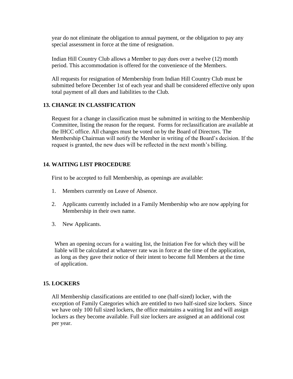year do not eliminate the obligation to annual payment, or the obligation to pay any special assessment in force at the time of resignation.

Indian Hill Country Club allows a Member to pay dues over a twelve (12) month period. This accommodation is offered for the convenience of the Members.

All requests for resignation of Membership from Indian Hill Country Club must be submitted before December 1st of each year and shall be considered effective only upon total payment of all dues and liabilities to the Club.

#### **13. CHANGE IN CLASSIFICATION**

Request for a change in classification must be submitted in writing to the Membership Committee, listing the reason for the request. Forms for reclassification are available at the IHCC office. All changes must be voted on by the Board of Directors. The Membership Chairman will notify the Member in writing of the Board's decision. If the request is granted, the new dues will be reflected in the next month's billing.

# **14. WAITING LIST PROCEDURE**

First to be accepted to full Membership, as openings are available:

- 1. Members currently on Leave of Absence.
- 2. Applicants currently included in a Family Membership who are now applying for Membership in their own name.
- 3. New Applicants.

When an opening occurs for a waiting list, the Initiation Fee for which they will be liable will be calculated at whatever rate was in force at the time of the application, as long as they gave their notice of their intent to become full Members at the time of application.

#### **15. LOCKERS**

All Membership classifications are entitled to one (half-sized) locker, with the exception of Family Categories which are entitled to two half-sized size lockers. Since we have only 100 full sized lockers, the office maintains a waiting list and will assign lockers as they become available. Full size lockers are assigned at an additional cost per year.